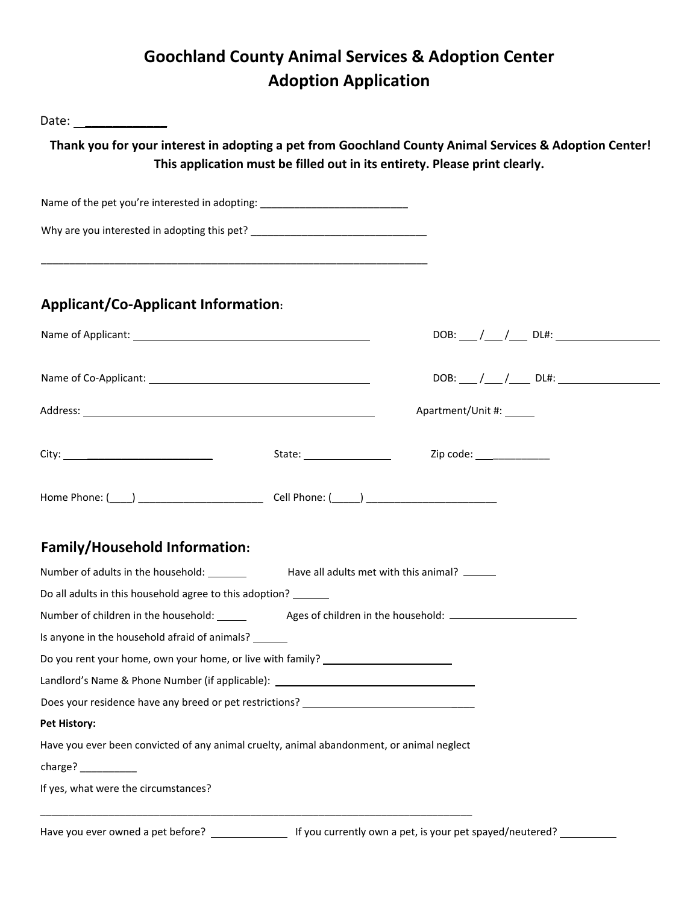## **Goochland County Animal Services & Adoption Center Adoption Application**

| Date: _________________                                                                   |                                                                                                                                                                                      |
|-------------------------------------------------------------------------------------------|--------------------------------------------------------------------------------------------------------------------------------------------------------------------------------------|
|                                                                                           | Thank you for your interest in adopting a pet from Goochland County Animal Services & Adoption Center!<br>This application must be filled out in its entirety. Please print clearly. |
| Name of the pet you're interested in adopting: _________________________________          |                                                                                                                                                                                      |
| Why are you interested in adopting this pet? ___________________________________          |                                                                                                                                                                                      |
| <b>Applicant/Co-Applicant Information:</b>                                                |                                                                                                                                                                                      |
|                                                                                           |                                                                                                                                                                                      |
|                                                                                           |                                                                                                                                                                                      |
|                                                                                           | Apartment/Unit #:                                                                                                                                                                    |
|                                                                                           |                                                                                                                                                                                      |
|                                                                                           |                                                                                                                                                                                      |
| <b>Family/Household Information:</b>                                                      |                                                                                                                                                                                      |
|                                                                                           |                                                                                                                                                                                      |
| Do all adults in this household agree to this adoption?                                   |                                                                                                                                                                                      |
|                                                                                           |                                                                                                                                                                                      |
| Is anyone in the household afraid of animals?                                             |                                                                                                                                                                                      |
| Do you rent your home, own your home, or live with family? _____________________          |                                                                                                                                                                                      |
| Landlord's Name & Phone Number (if applicable): ________________________________          |                                                                                                                                                                                      |
|                                                                                           |                                                                                                                                                                                      |
| <b>Pet History:</b>                                                                       |                                                                                                                                                                                      |
| Have you ever been convicted of any animal cruelty, animal abandonment, or animal neglect |                                                                                                                                                                                      |
|                                                                                           |                                                                                                                                                                                      |
| If yes, what were the circumstances?                                                      |                                                                                                                                                                                      |
|                                                                                           |                                                                                                                                                                                      |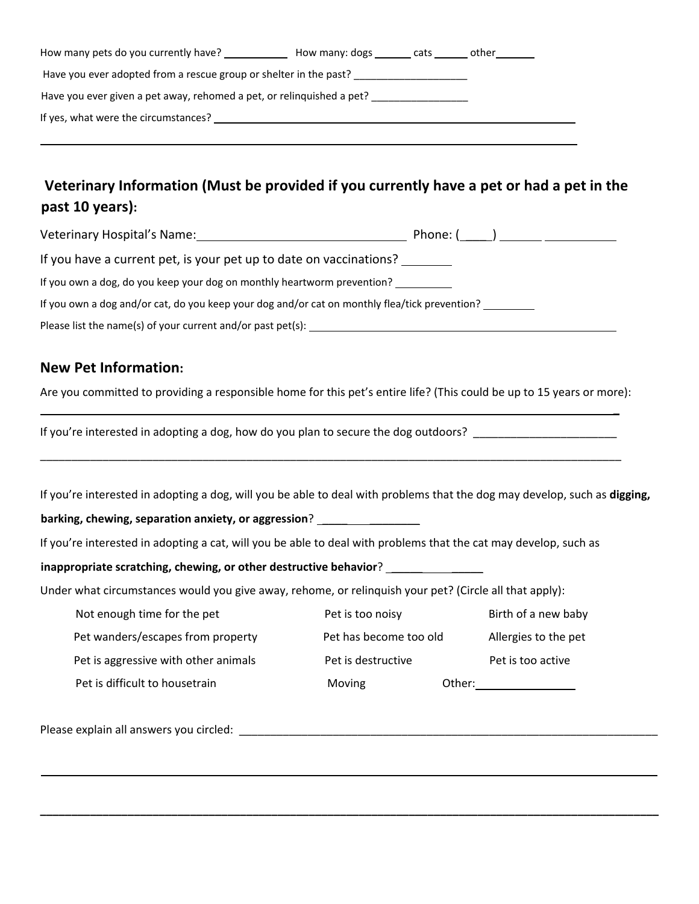| How many pets do you currently have?                                  | How many: dogs | cats | other |  |  |  |  |
|-----------------------------------------------------------------------|----------------|------|-------|--|--|--|--|
| Have you ever adopted from a rescue group or shelter in the past?     |                |      |       |  |  |  |  |
| Have you ever given a pet away, rehomed a pet, or relinquished a pet? |                |      |       |  |  |  |  |
| If yes, what were the circumstances?                                  |                |      |       |  |  |  |  |

 $\mathcal{L}_\mathcal{L} = \mathcal{L}_\mathcal{L} = \mathcal{L}_\mathcal{L} = \mathcal{L}_\mathcal{L} = \mathcal{L}_\mathcal{L} = \mathcal{L}_\mathcal{L} = \mathcal{L}_\mathcal{L} = \mathcal{L}_\mathcal{L} = \mathcal{L}_\mathcal{L} = \mathcal{L}_\mathcal{L} = \mathcal{L}_\mathcal{L} = \mathcal{L}_\mathcal{L} = \mathcal{L}_\mathcal{L} = \mathcal{L}_\mathcal{L} = \mathcal{L}_\mathcal{L} = \mathcal{L}_\mathcal{L} = \mathcal{L}_\mathcal{L}$ 

## **Veterinary Information (Must be provided if you currently have a pet or had a pet in the past 10 years):**

| Veterinary Hospital's Name: Veterinary Hospital                                               | Phone: (   ) |
|-----------------------------------------------------------------------------------------------|--------------|
| If you have a current pet, is your pet up to date on vaccinations?                            |              |
| If you own a dog, do you keep your dog on monthly heartworm prevention?                       |              |
| If you own a dog and/or cat, do you keep your dog and/or cat on monthly flea/tick prevention? |              |

Please list the name(s) of your current and/or past pet(s):

## **New Pet Information:**

Are you committed to providing a responsible home for this pet's entire life? (This could be up to 15 years or more):

 $\overline{a}$ 

If you're interested in adopting a dog, how do you plan to secure the dog outdoors? \_\_\_\_\_\_\_\_\_\_\_\_\_\_\_\_\_\_\_\_\_\_\_\_\_

If you're interested in adopting a dog, will you be able to deal with problems that the dog may develop, such as **digging,**

\_\_\_\_\_\_\_\_\_\_\_\_\_\_\_\_\_\_\_\_\_\_\_\_\_\_\_\_\_\_\_\_\_\_\_\_\_\_\_\_\_\_\_\_\_\_\_\_\_\_\_\_\_\_\_\_\_\_\_\_\_\_\_\_\_\_\_\_\_\_\_\_\_\_\_\_\_\_\_\_\_\_\_\_\_\_\_\_\_\_\_\_\_

**barking, chewing, separation anxiety, or aggression**? \_\_\_\_ \_\_\_\_\_\_\_\_

If you're interested in adopting a cat, will you be able to deal with problems that the cat may develop, such as

**inappropriate scratching, chewing, or other destructive behavior**? \_\_\_\_\_ \_\_\_\_\_

Under what circumstances would you give away, rehome, or relinquish your pet? (Circle all that apply):

| Not enough time for the pet          | Pet is too noisy       |        | Birth of a new baby  |
|--------------------------------------|------------------------|--------|----------------------|
| Pet wanders/escapes from property    | Pet has become too old |        | Allergies to the pet |
| Pet is aggressive with other animals | Pet is destructive     |        | Pet is too active    |
| Pet is difficult to housetrain       | Moving                 | Other: |                      |

<u> 2008 - Andrea Britain, amerikan basar dan berasal di sebagai berasal di sebagai berasal di sebagai berasal d</u>

**\_\_\_\_\_\_\_\_\_\_\_\_\_\_\_\_\_\_\_\_\_\_\_\_\_\_\_\_\_\_\_\_\_\_\_\_\_\_\_\_\_\_\_\_\_\_\_\_\_\_\_\_\_\_\_\_\_\_\_\_\_\_\_\_\_\_\_\_\_\_\_\_\_\_\_\_\_\_\_\_\_\_\_\_\_\_\_\_\_\_\_\_\_\_\_\_\_\_\_**

Please explain all answers you circled:  $\Box$